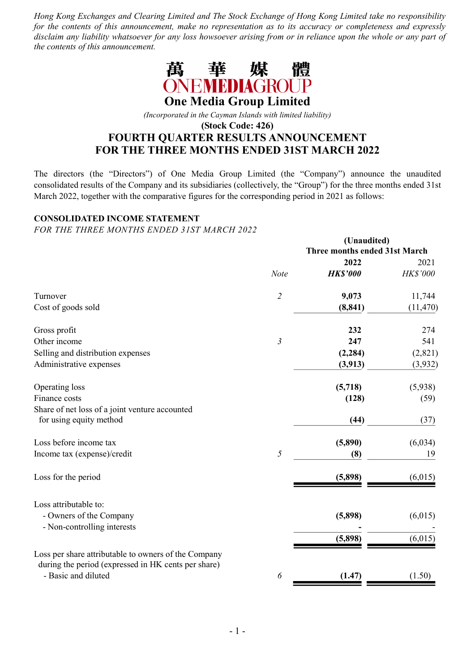Hong Kong Exchanges and Clearing Limited and The Stock Exchange of Hong Kong Limited take no responsibility for the contents of this announcement, make no representation as to its accuracy or completeness and expressly disclaim any liability whatsoever for any loss howsoever arising from or in reliance upon the whole or any part of the contents of this announcement.



(Incorporated in the Cayman Islands with limited liability)

(Stock Code: 426)

# FOURTH QUARTER RESULTS ANNOUNCEMENT FOR THE THREE MONTHS ENDED 31ST MARCH 2022

The directors (the "Directors") of One Media Group Limited (the "Company") announce the unaudited consolidated results of the Company and its subsidiaries (collectively, the "Group") for the three months ended 31st March 2022, together with the comparative figures for the corresponding period in 2021 as follows:

### CONSOLIDATED INCOME STATEMENT

FOR THE THREE MONTHS ENDED 31ST MARCH 2022

|                                                                           | (Unaudited)                          |                 |                 |
|---------------------------------------------------------------------------|--------------------------------------|-----------------|-----------------|
|                                                                           | <b>Three months ended 31st March</b> |                 |                 |
|                                                                           |                                      | 2022            | 2021            |
|                                                                           | <b>Note</b>                          | <b>HK\$'000</b> | <b>HK\$'000</b> |
| Turnover                                                                  | $\overline{2}$                       | 9,073           | 11,744          |
| Cost of goods sold                                                        |                                      | (8, 841)        | (11, 470)       |
| Gross profit                                                              |                                      | 232             | 274             |
| Other income                                                              | $\mathfrak{Z}$                       | 247             | 541             |
| Selling and distribution expenses                                         |                                      | (2, 284)        | (2,821)         |
| Administrative expenses                                                   |                                      | (3,913)         | (3,932)         |
| Operating loss                                                            |                                      | (5,718)         | (5,938)         |
| Finance costs                                                             |                                      | (128)           | (59)            |
| Share of net loss of a joint venture accounted<br>for using equity method |                                      | (44)            | (37)            |
| Loss before income tax                                                    |                                      | (5,890)         | (6,034)         |
| Income tax (expense)/credit                                               | 5                                    | (8)             | 19              |
| Loss for the period                                                       |                                      | (5,898)         | (6,015)         |
| Loss attributable to:                                                     |                                      |                 |                 |
| - Owners of the Company                                                   |                                      | (5,898)         | (6,015)         |
| - Non-controlling interests                                               |                                      |                 |                 |
|                                                                           |                                      | (5,898)         | (6,015)         |
| Loss per share attributable to owners of the Company                      |                                      |                 |                 |
| - Basic and diluted                                                       | 6                                    |                 | (1.50)          |
| during the period (expressed in HK cents per share)                       |                                      | (1.47)          |                 |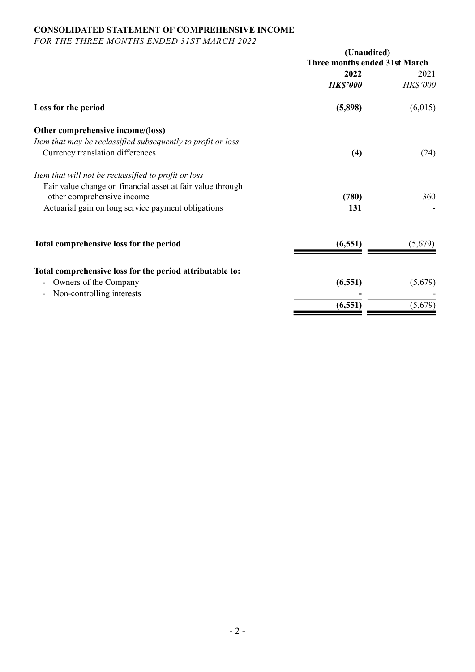### CONSOLIDATED STATEMENT OF COMPREHENSIVE INCOME

FOR THE THREE MONTHS ENDED 31ST MARCH 2022

|                                                              | (Unaudited)                   |                 |
|--------------------------------------------------------------|-------------------------------|-----------------|
|                                                              | Three months ended 31st March |                 |
|                                                              | 2022                          | 2021            |
|                                                              | <b>HK\$'000</b>               | <b>HK\$'000</b> |
| Loss for the period                                          | (5,898)                       | (6,015)         |
| Other comprehensive income/(loss)                            |                               |                 |
| Item that may be reclassified subsequently to profit or loss |                               |                 |
| Currency translation differences                             | (4)                           | (24)            |
| Item that will not be reclassified to profit or loss         |                               |                 |
| Fair value change on financial asset at fair value through   |                               |                 |
| other comprehensive income                                   | (780)                         | 360             |
| Actuarial gain on long service payment obligations           | 131                           |                 |
|                                                              |                               |                 |
| Total comprehensive loss for the period                      | (6, 551)                      | (5,679)         |
| Total comprehensive loss for the period attributable to:     |                               |                 |
| Owners of the Company                                        | (6, 551)                      | (5,679)         |
| Non-controlling interests                                    |                               |                 |
|                                                              | (6, 551)                      | (5,679)         |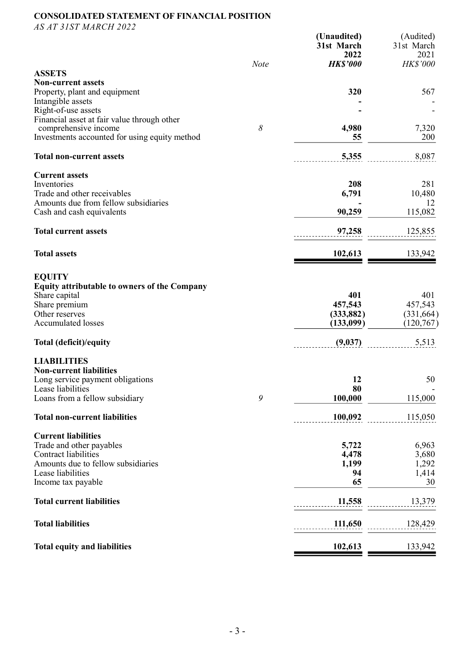# CONSOLIDATED STATEMENT OF FINANCIAL POSITION

AS AT 31ST MARCH 2022

| 31st March<br>2022<br><b>HK\$'000</b><br><b>Note</b><br><b>ASSETS</b><br><b>Non-current assets</b><br>320<br>Property, plant and equipment<br>Intangible assets<br>Right-of-use assets<br>Financial asset at fair value through other<br>8<br>4,980<br>comprehensive income<br>Investments accounted for using equity method<br>55<br>5,355<br><b>Total non-current assets</b><br><b>Current assets</b><br>Inventories<br>208 | 31st March<br>2021<br><b>HK\$'000</b><br>567<br>7,320<br>200<br>8,087<br>281<br>10,480<br>12<br>115,082 |
|-------------------------------------------------------------------------------------------------------------------------------------------------------------------------------------------------------------------------------------------------------------------------------------------------------------------------------------------------------------------------------------------------------------------------------|---------------------------------------------------------------------------------------------------------|
|                                                                                                                                                                                                                                                                                                                                                                                                                               |                                                                                                         |
|                                                                                                                                                                                                                                                                                                                                                                                                                               |                                                                                                         |
|                                                                                                                                                                                                                                                                                                                                                                                                                               |                                                                                                         |
|                                                                                                                                                                                                                                                                                                                                                                                                                               |                                                                                                         |
|                                                                                                                                                                                                                                                                                                                                                                                                                               |                                                                                                         |
|                                                                                                                                                                                                                                                                                                                                                                                                                               |                                                                                                         |
|                                                                                                                                                                                                                                                                                                                                                                                                                               |                                                                                                         |
|                                                                                                                                                                                                                                                                                                                                                                                                                               |                                                                                                         |
|                                                                                                                                                                                                                                                                                                                                                                                                                               |                                                                                                         |
|                                                                                                                                                                                                                                                                                                                                                                                                                               |                                                                                                         |
|                                                                                                                                                                                                                                                                                                                                                                                                                               |                                                                                                         |
|                                                                                                                                                                                                                                                                                                                                                                                                                               |                                                                                                         |
| 6,791<br>Trade and other receivables                                                                                                                                                                                                                                                                                                                                                                                          |                                                                                                         |
| Amounts due from fellow subsidiaries                                                                                                                                                                                                                                                                                                                                                                                          |                                                                                                         |
| 90,259<br>Cash and cash equivalents                                                                                                                                                                                                                                                                                                                                                                                           |                                                                                                         |
| <b>Total current assets</b><br>97,258                                                                                                                                                                                                                                                                                                                                                                                         | 125,855                                                                                                 |
| <b>Total assets</b><br>102,613                                                                                                                                                                                                                                                                                                                                                                                                | 133,942                                                                                                 |
| <b>EQUITY</b>                                                                                                                                                                                                                                                                                                                                                                                                                 |                                                                                                         |
| <b>Equity attributable to owners of the Company</b>                                                                                                                                                                                                                                                                                                                                                                           |                                                                                                         |
| 401<br>Share capital                                                                                                                                                                                                                                                                                                                                                                                                          | 401                                                                                                     |
| 457,543<br>Share premium<br>Other reserves<br>(333, 882)                                                                                                                                                                                                                                                                                                                                                                      | 457,543<br>(331, 664)                                                                                   |
| <b>Accumulated losses</b><br>(133,099)                                                                                                                                                                                                                                                                                                                                                                                        | (120, 767)                                                                                              |
|                                                                                                                                                                                                                                                                                                                                                                                                                               |                                                                                                         |
| (9,037)<br>Total (deficit)/equity                                                                                                                                                                                                                                                                                                                                                                                             | 5,513                                                                                                   |
| <b>LIABILITIES</b>                                                                                                                                                                                                                                                                                                                                                                                                            |                                                                                                         |
| <b>Non-current liabilities</b>                                                                                                                                                                                                                                                                                                                                                                                                |                                                                                                         |
| 12<br>Long service payment obligations<br>80<br>Lease liabilities                                                                                                                                                                                                                                                                                                                                                             | 50                                                                                                      |
| 9<br>Loans from a fellow subsidiary<br>100,000                                                                                                                                                                                                                                                                                                                                                                                | 115,000                                                                                                 |
|                                                                                                                                                                                                                                                                                                                                                                                                                               |                                                                                                         |
| <b>Total non-current liabilities</b><br>100,092                                                                                                                                                                                                                                                                                                                                                                               | 115,050                                                                                                 |
| <b>Current liabilities</b>                                                                                                                                                                                                                                                                                                                                                                                                    |                                                                                                         |
| Trade and other payables<br>5,722                                                                                                                                                                                                                                                                                                                                                                                             | 6,963                                                                                                   |
| <b>Contract liabilities</b><br>4,478                                                                                                                                                                                                                                                                                                                                                                                          | 3,680                                                                                                   |
| Amounts due to fellow subsidiaries<br>1,199                                                                                                                                                                                                                                                                                                                                                                                   | 1,292                                                                                                   |
| Lease liabilities<br>94<br>65                                                                                                                                                                                                                                                                                                                                                                                                 | 1,414                                                                                                   |
| Income tax payable                                                                                                                                                                                                                                                                                                                                                                                                            | 30                                                                                                      |
| <b>Total current liabilities</b><br>11,558                                                                                                                                                                                                                                                                                                                                                                                    | 13,379                                                                                                  |
| <b>Total liabilities</b><br>111,650                                                                                                                                                                                                                                                                                                                                                                                           | 128,429                                                                                                 |
| <b>Total equity and liabilities</b><br>102,613                                                                                                                                                                                                                                                                                                                                                                                | 133,942                                                                                                 |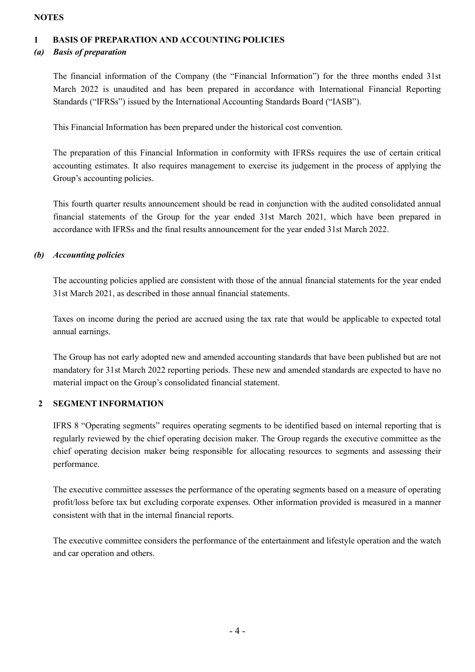### **NOTES**

# 1 BASIS OF PREPARATION AND ACCOUNTING POLICIES

# (a) Basis of preparation

The financial information of the Company (the "Financial Information") for the three months ended 31st March 2022 is unaudited and has been prepared in accordance with International Financial Reporting Standards ("IFRSs") issued by the International Accounting Standards Board ("IASB").

This Financial Information has been prepared under the historical cost convention.

The preparation of this Financial Information in conformity with IFRSs requires the use of certain critical accounting estimates. It also requires management to exercise its judgement in the process of applying the Group's accounting policies.

This fourth quarter results announcement should be read in conjunction with the audited consolidated annual financial statements of the Group for the year ended 31st March 2021, which have been prepared in accordance with IFRSs and the final results announcement for the year ended 31st March 2022.

### (b) Accounting policies

The accounting policies applied are consistent with those of the annual financial statements for the year ended 31st March 2021, as described in those annual financial statements.

Taxes on income during the period are accrued using the tax rate that would be applicable to expected total annual earnings.

The Group has not early adopted new and amended accounting standards that have been published but are not mandatory for 31st March 2022 reporting periods. These new and amended standards are expected to have no material impact on the Group's consolidated financial statement.

### 2 SEGMENT INFORMATION

IFRS 8 "Operating segments" requires operating segments to be identified based on internal reporting that is regularly reviewed by the chief operating decision maker. The Group regards the executive committee as the chief operating decision maker being responsible for allocating resources to segments and assessing their performance.

The executive committee assesses the performance of the operating segments based on a measure of operating profit/loss before tax but excluding corporate expenses. Other information provided is measured in a manner consistent with that in the internal financial reports.

The executive committee considers the performance of the entertainment and lifestyle operation and the watch and car operation and others.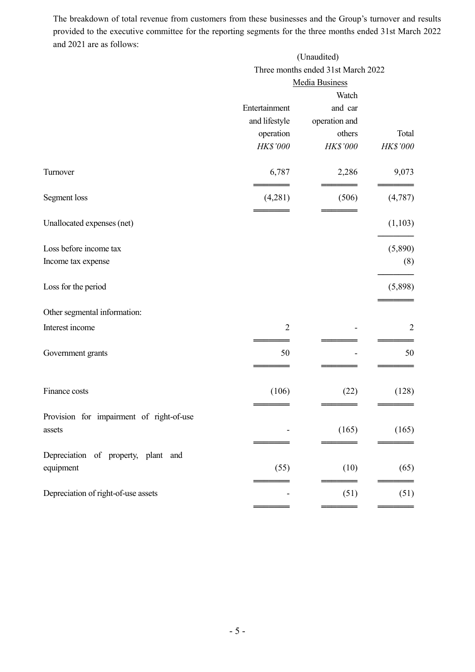The breakdown of total revenue from customers from these businesses and the Group's turnover and results provided to the executive committee for the reporting segments for the three months ended 31st March 2022 and 2021 are as follows:

|                                                    |                                    | (Unaudited)           |                |
|----------------------------------------------------|------------------------------------|-----------------------|----------------|
|                                                    | Three months ended 31st March 2022 |                       |                |
|                                                    |                                    | <b>Media Business</b> |                |
|                                                    |                                    | Watch                 |                |
|                                                    | Entertainment                      | and car               |                |
|                                                    | and lifestyle                      | operation and         |                |
|                                                    | operation                          | others                | Total          |
|                                                    | HK\$'000                           | HK\$'000              | HK\$'000       |
| Turnover                                           | 6,787                              | 2,286                 | 9,073          |
| Segment loss                                       | (4,281)                            | (506)                 | (4,787)        |
| Unallocated expenses (net)                         |                                    |                       | (1,103)        |
| Loss before income tax                             |                                    |                       | (5,890)        |
| Income tax expense                                 |                                    |                       | (8)            |
| Loss for the period                                |                                    |                       | (5,898)        |
| Other segmental information:                       |                                    |                       |                |
| Interest income                                    | $\overline{2}$                     |                       | $\overline{2}$ |
| Government grants                                  | 50                                 |                       | 50             |
| Finance costs                                      | (106)                              | (22)                  | (128)          |
| Provision for impairment of right-of-use<br>assets |                                    | (165)                 | (165)          |
| Depreciation of property, plant and                |                                    |                       |                |
| equipment                                          | (55)                               | (10)                  | (65)           |
| Depreciation of right-of-use assets                |                                    | (51)                  | (51)           |
|                                                    |                                    |                       |                |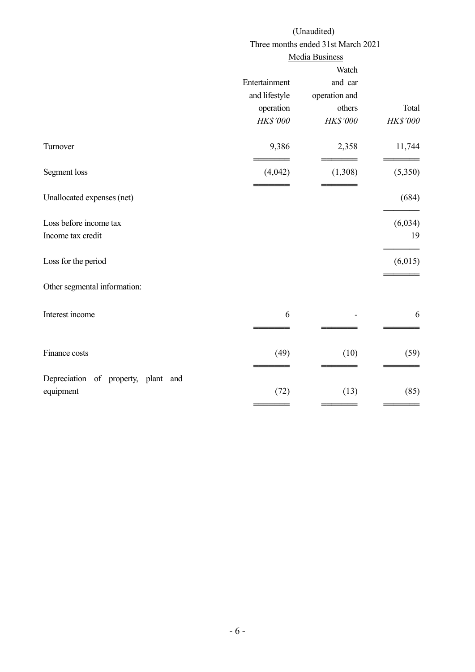|                                     |               | (Unaudited)                        |          |
|-------------------------------------|---------------|------------------------------------|----------|
|                                     |               | Three months ended 31st March 2021 |          |
|                                     |               | <b>Media Business</b>              |          |
|                                     |               | Watch                              |          |
|                                     | Entertainment | and car                            |          |
|                                     | and lifestyle | operation and                      |          |
|                                     | operation     | others                             | Total    |
|                                     | HK\$'000      | HK\$'000                           | HK\$'000 |
| Turnover                            | 9,386         | 2,358                              | 11,744   |
| Segment loss                        | (4,042)       | (1,308)                            | (5,350)  |
| Unallocated expenses (net)          |               |                                    | (684)    |
| Loss before income tax              |               |                                    | (6,034)  |
| Income tax credit                   |               |                                    | 19       |
| Loss for the period                 |               |                                    | (6,015)  |
| Other segmental information:        |               |                                    |          |
| Interest income                     | 6             |                                    | 6        |
|                                     |               |                                    |          |
| Finance costs                       | (49)          | (10)                               | (59)     |
| Depreciation of property, plant and |               |                                    |          |
| equipment                           | (72)          | (13)                               | (85)     |
|                                     |               |                                    |          |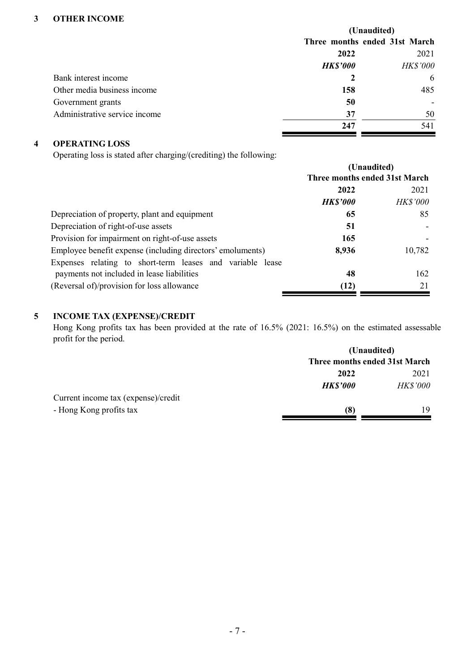### 3 OTHER INCOME

|                               | (Unaudited)                   |  |                          |
|-------------------------------|-------------------------------|--|--------------------------|
|                               | Three months ended 31st March |  |                          |
|                               | 2022                          |  | 2021                     |
|                               | <b>HK\$'000</b>               |  | HK\$'000                 |
| Bank interest income          |                               |  | 6                        |
| Other media business income   | 158                           |  | 485                      |
| Government grants             | 50                            |  | $\overline{\phantom{0}}$ |
| Administrative service income | 37                            |  | 50                       |
|                               | 247                           |  | 541                      |

# 4 OPERATING LOSS

Operating loss is stated after charging/(crediting) the following:

| (Unaudited)                   |          |
|-------------------------------|----------|
| Three months ended 31st March |          |
| 2022                          | 2021     |
| <b>HK\$'000</b>               | HK\$'000 |
| 65                            | 85       |
| 51                            |          |
| 165                           |          |
| 8,936                         | 10,782   |
|                               |          |
| 48                            | 162      |
| (12)                          | 21       |
|                               |          |

# 5 INCOME TAX (EXPENSE)/CREDIT

Hong Kong profits tax has been provided at the rate of 16.5% (2021: 16.5%) on the estimated assessable profit for the period.

|                                     |                 | (Unaudited)                   |  |
|-------------------------------------|-----------------|-------------------------------|--|
|                                     |                 | Three months ended 31st March |  |
|                                     | 2022            | 2021                          |  |
|                                     | <b>HK\$'000</b> | <b>HK\$'000</b>               |  |
| Current income tax (expense)/credit |                 |                               |  |
| - Hong Kong profits tax             | (8)             | 19                            |  |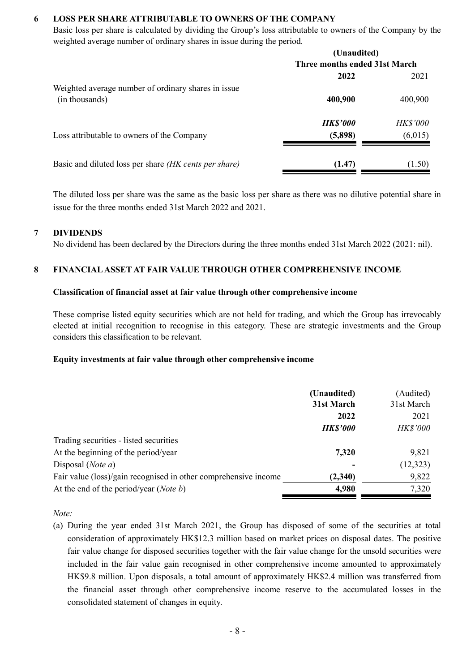# 6 LOSS PER SHARE ATTRIBUTABLE TO OWNERS OF THE COMPANY

Basic loss per share is calculated by dividing the Group's loss attributable to owners of the Company by the weighted average number of ordinary shares in issue during the period.

| (Unaudited)                   |                 |
|-------------------------------|-----------------|
| Three months ended 31st March |                 |
| 2022                          | 2021            |
|                               |                 |
| 400,900                       | 400,900         |
| <b>HK\$'000</b>               | <b>HK\$'000</b> |
| (5,898)                       | (6,015)         |
| (1.47)                        | (1.50)          |
|                               |                 |

The diluted loss per share was the same as the basic loss per share as there was no dilutive potential share in issue for the three months ended 31st March 2022 and 2021.

### 7 DIVIDENDS

No dividend has been declared by the Directors during the three months ended 31st March 2022 (2021: nil).

### 8 FINANCIAL ASSET AT FAIR VALUE THROUGH OTHER COMPREHENSIVE INCOME

#### Classification of financial asset at fair value through other comprehensive income

These comprise listed equity securities which are not held for trading, and which the Group has irrevocably elected at initial recognition to recognise in this category. These are strategic investments and the Group considers this classification to be relevant.

#### Equity investments at fair value through other comprehensive income

|                                                                 | (Unaudited)<br>31st March | (Audited)<br>31st March |
|-----------------------------------------------------------------|---------------------------|-------------------------|
|                                                                 | 2022                      | 2021                    |
|                                                                 | <b>HK\$'000</b>           | <b>HK\$'000</b>         |
| Trading securities - listed securities                          |                           |                         |
| At the beginning of the period/year                             | 7,320                     | 9,821                   |
| Disposal ( <i>Note a</i> )                                      |                           | (12,323)                |
| Fair value (loss)/gain recognised in other comprehensive income | (2,340)                   | 9,822                   |
| At the end of the period/year ( <i>Note b</i> )                 | 4,980                     | 7,320                   |

Note:

(a) During the year ended 31st March 2021, the Group has disposed of some of the securities at total consideration of approximately HK\$12.3 million based on market prices on disposal dates. The positive fair value change for disposed securities together with the fair value change for the unsold securities were included in the fair value gain recognised in other comprehensive income amounted to approximately HK\$9.8 million. Upon disposals, a total amount of approximately HK\$2.4 million was transferred from the financial asset through other comprehensive income reserve to the accumulated losses in the consolidated statement of changes in equity.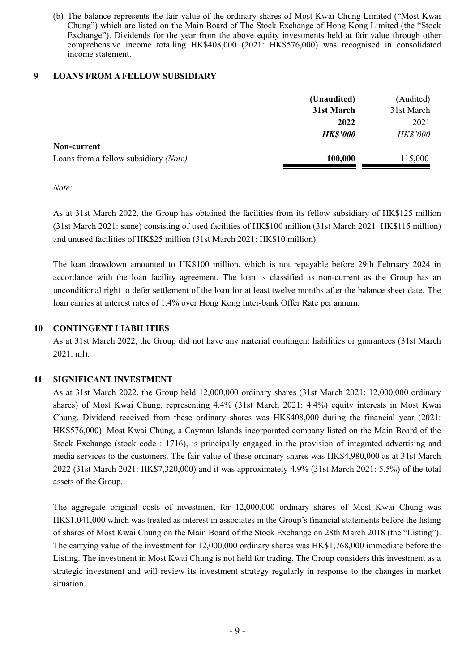(b) The balance represents the fair value of the ordinary shares of Most Kwai Chung Limited ("Most Kwai Chung") which are listed on the Main Board of The Stock Exchange of Hong Kong Limited (the "Stock Exchange"). Dividends for the year from the above equity investments held at fair value through other comprehensive income totalling HK\$408,000 (2021: HK\$576,000) was recognised in consolidated income statement.

### 9 LOANS FROM A FELLOW SUBSIDIARY

|                                       | (Unaudited)     | (Audited)       |
|---------------------------------------|-----------------|-----------------|
|                                       | 31st March      | 31st March      |
|                                       | 2022            | 2021            |
|                                       | <b>HK\$'000</b> | <b>HK\$'000</b> |
| Non-current                           |                 |                 |
| Loans from a fellow subsidiary (Note) | 100,000         | 115,000         |

Note:

As at 31st March 2022, the Group has obtained the facilities from its fellow subsidiary of HK\$125 million (31st March 2021: same) consisting of used facilities of HK\$100 million (31st March 2021: HK\$115 million) and unused facilities of HK\$25 million (31st March 2021: HK\$10 million).

The loan drawdown amounted to HK\$100 million, which is not repayable before 29th February 2024 in accordance with the loan facility agreement. The loan is classified as non-current as the Group has an unconditional right to defer settlement of the loan for at least twelve months after the balance sheet date. The loan carries at interest rates of 1.4% over Hong Kong Inter-bank Offer Rate per annum.

### 10 CONTINGENT LIABILITIES

As at 31st March 2022, the Group did not have any material contingent liabilities or guarantees (31st March 2021: nil).

### 11 SIGNIFICANT INVESTMENT

As at 31st March 2022, the Group held 12,000,000 ordinary shares (31st March 2021: 12,000,000 ordinary shares) of Most Kwai Chung, representing 4.4% (31st March 2021: 4.4%) equity interests in Most Kwai Chung. Dividend received from these ordinary shares was HK\$408,000 during the financial year (2021: HK\$576,000). Most Kwai Chung, a Cayman Islands incorporated company listed on the Main Board of the Stock Exchange (stock code : 1716), is principally engaged in the provision of integrated advertising and media services to the customers. The fair value of these ordinary shares was HK\$4,980,000 as at 31st March 2022 (31st March 2021: HK\$7,320,000) and it was approximately 4.9% (31st March 2021: 5.5%) of the total assets of the Group.

The aggregate original costs of investment for 12,000,000 ordinary shares of Most Kwai Chung was HK\$1,041,000 which was treated as interest in associates in the Group's financial statements before the listing of shares of Most Kwai Chung on the Main Board of the Stock Exchange on 28th March 2018 (the "Listing"). The carrying value of the investment for 12,000,000 ordinary shares was HK\$1,768,000 immediate before the Listing. The investment in Most Kwai Chung is not held for trading. The Group considers this investment as a strategic investment and will review its investment strategy regularly in response to the changes in market situation.